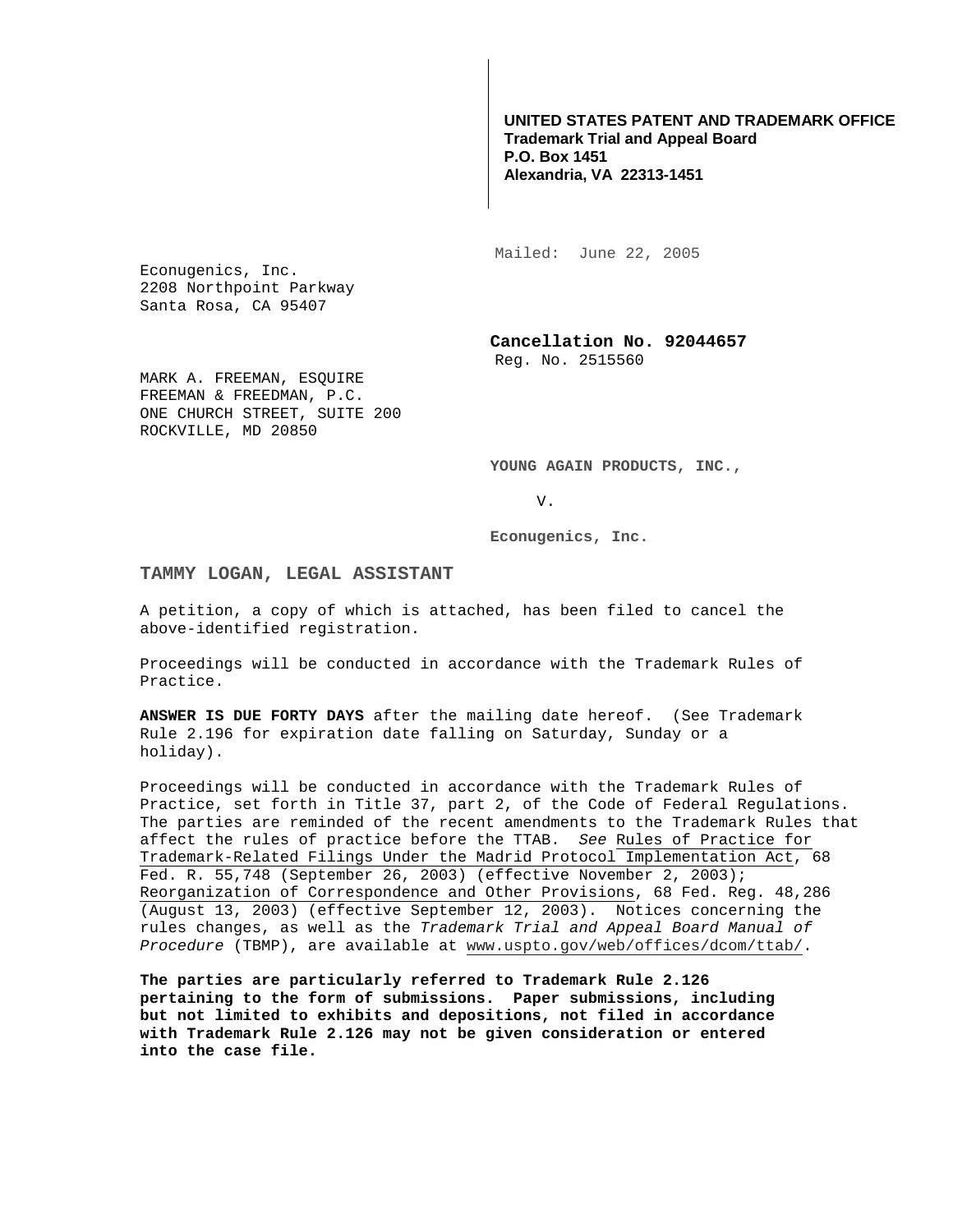**UNITED STATES PATENT AND TRADEMARK OFFICE Trademark Trial and Appeal Board P.O. Box 1451 Alexandria, VA 22313-1451**

Mailed: June 22, 2005

Econugenics, Inc. 2208 Northpoint Parkway Santa Rosa, CA 95407

> **Cancellation No. 92044657**  Reg. No. 2515560

MARK A. FREEMAN, ESOUIRE FREEMAN & FREEDMAN, P.C. ONE CHURCH STREET, SUITE 200 ROCKVILLE, MD 20850

**YOUNG AGAIN PRODUCTS, INC.,** 

V.

**Econugenics, Inc.** 

## **TAMMY LOGAN, LEGAL ASSISTANT**

A petition, a copy of which is attached, has been filed to cancel the above-identified registration.

Proceedings will be conducted in accordance with the Trademark Rules of Practice.

**ANSWER IS DUE FORTY DAYS** after the mailing date hereof. (See Trademark Rule 2.196 for expiration date falling on Saturday, Sunday or a holiday).

Proceedings will be conducted in accordance with the Trademark Rules of Practice, set forth in Title 37, part 2, of the Code of Federal Regulations. The parties are reminded of the recent amendments to the Trademark Rules that affect the rules of practice before the TTAB. See Rules of Practice for Trademark-Related Filings Under the Madrid Protocol Implementation Act, 68 Fed. R. 55,748 (September 26, 2003) (effective November 2, 2003); Reorganization of Correspondence and Other Provisions, 68 Fed. Reg. 48,286 (August 13, 2003) (effective September 12, 2003). Notices concerning the rules changes, as well as the Trademark Trial and Appeal Board Manual of Procedure (TBMP), are available at www.uspto.gov/web/offices/dcom/ttab/.

**The parties are particularly referred to Trademark Rule 2.126 pertaining to the form of submissions. Paper submissions, including but not limited to exhibits and depositions, not filed in accordance with Trademark Rule 2.126 may not be given consideration or entered into the case file.**